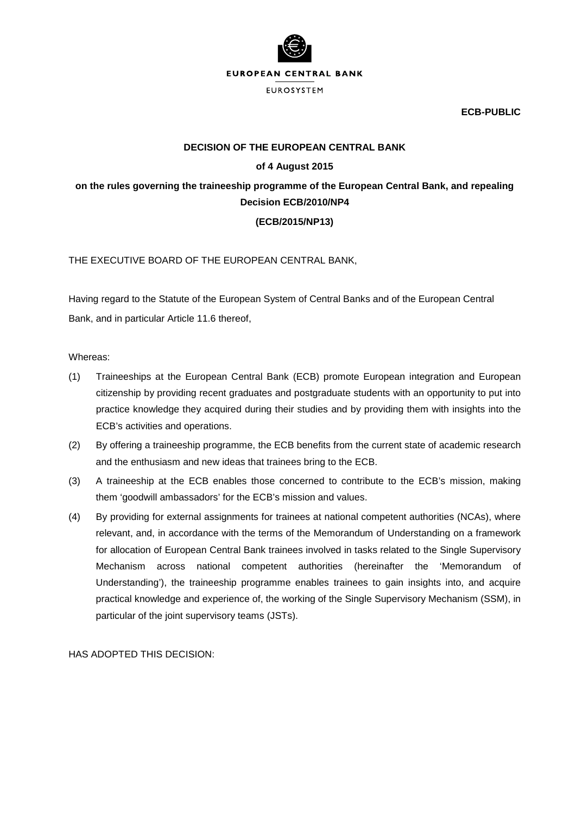

**ECB-PUBLIC**

### **DECISION OF THE EUROPEAN CENTRAL BANK**

# **of 4 August 2015**

# **on the rules governing the traineeship programme of the European Central Bank, and repealing Decision ECB/2010/NP4**

# **(ECB/2015/NP13)**

THE EXECUTIVE BOARD OF THE EUROPEAN CENTRAL BANK,

Having regard to the Statute of the European System of Central Banks and of the European Central Bank, and in particular Article 11.6 thereof,

Whereas:

- (1) Traineeships at the European Central Bank (ECB) promote European integration and European citizenship by providing recent graduates and postgraduate students with an opportunity to put into practice knowledge they acquired during their studies and by providing them with insights into the ECB's activities and operations.
- (2) By offering a traineeship programme, the ECB benefits from the current state of academic research and the enthusiasm and new ideas that trainees bring to the ECB.
- (3) A traineeship at the ECB enables those concerned to contribute to the ECB's mission, making them 'goodwill ambassadors' for the ECB's mission and values.
- (4) By providing for external assignments for trainees at national competent authorities (NCAs), where relevant, and, in accordance with the terms of the Memorandum of Understanding on a framework for allocation of European Central Bank trainees involved in tasks related to the Single Supervisory Mechanism across national competent authorities (hereinafter the 'Memorandum of Understanding'), the traineeship programme enables trainees to gain insights into, and acquire practical knowledge and experience of, the working of the Single Supervisory Mechanism (SSM), in particular of the joint supervisory teams (JSTs).

HAS ADOPTED THIS DECISION: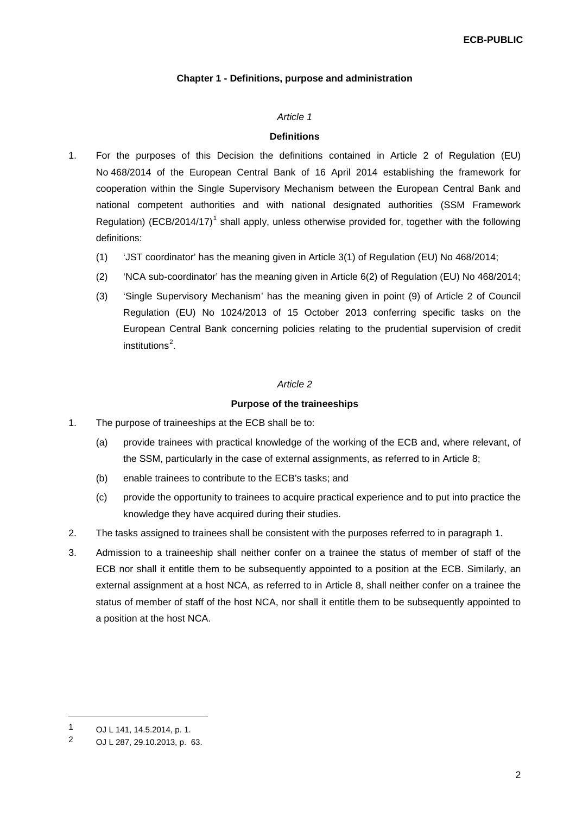# **Chapter 1 - Definitions, purpose and administration**

#### *Article 1*

### **Definitions**

- 1. For the purposes of this Decision the definitions contained in Article 2 of Regulation (EU) No 468/2014 of the European Central Bank of 16 April 2014 establishing the framework for cooperation within the Single Supervisory Mechanism between the European Central Bank and national competent authorities and with national designated authorities (SSM Framework Regulation) (ECB/20[1](#page-1-0)4/17)<sup>1</sup> shall apply, unless otherwise provided for, together with the following definitions:
	- (1) 'JST coordinator' has the meaning given in Article 3(1) of Regulation (EU) No 468/2014;
	- (2) 'NCA sub-coordinator' has the meaning given in Article 6(2) of Regulation (EU) No 468/2014;
	- (3) 'Single Supervisory Mechanism' has the meaning given in point (9) of Article 2 of Council Regulation (EU) No 1024/2013 of 15 October 2013 conferring specific tasks on the European Central Bank concerning policies relating to the prudential supervision of credit institutions<sup>[2](#page-1-1)</sup>.

# *Article 2*

### **Purpose of the traineeships**

- 1. The purpose of traineeships at the ECB shall be to:
	- (a) provide trainees with practical knowledge of the working of the ECB and, where relevant, of the SSM, particularly in the case of external assignments, as referred to in Article 8;
	- (b) enable trainees to contribute to the ECB's tasks; and
	- (c) provide the opportunity to trainees to acquire practical experience and to put into practice the knowledge they have acquired during their studies.
- 2. The tasks assigned to trainees shall be consistent with the purposes referred to in paragraph 1.
- 3. Admission to a traineeship shall neither confer on a trainee the status of member of staff of the ECB nor shall it entitle them to be subsequently appointed to a position at the ECB. Similarly, an external assignment at a host NCA, as referred to in Article 8, shall neither confer on a trainee the status of member of staff of the host NCA, nor shall it entitle them to be subsequently appointed to a position at the host NCA.

**.** 

<span id="page-1-0"></span><sup>1</sup> OJ L 141, 14.5.2014, p. 1.<br>2 OJ L 287, 20.10.2012, p. 1

<span id="page-1-1"></span><sup>2</sup> OJ L 287, 29.10.2013, p. 63.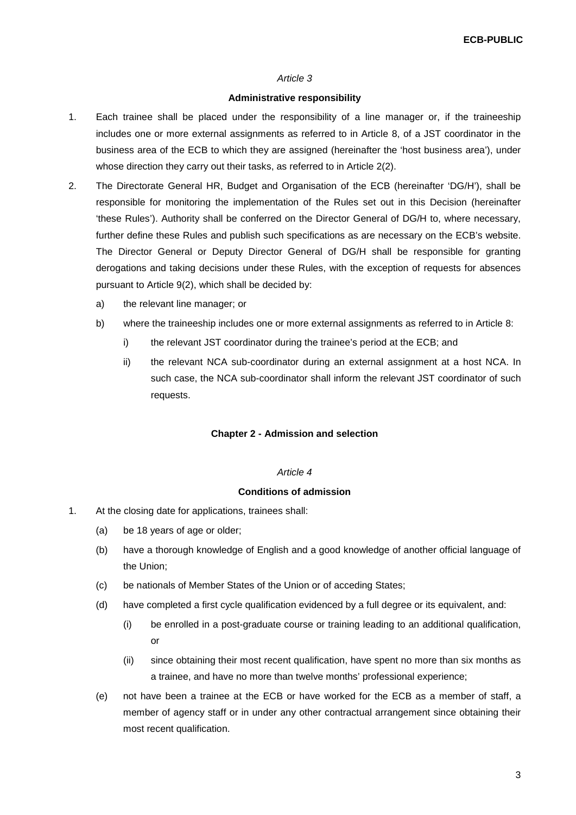#### *Article 3*

#### **Administrative responsibility**

- 1. Each trainee shall be placed under the responsibility of a line manager or, if the traineeship includes one or more external assignments as referred to in Article 8, of a JST coordinator in the business area of the ECB to which they are assigned (hereinafter the 'host business area'), under whose direction they carry out their tasks, as referred to in Article 2(2).
- 2. The Directorate General HR, Budget and Organisation of the ECB (hereinafter 'DG/H'), shall be responsible for monitoring the implementation of the Rules set out in this Decision (hereinafter 'these Rules'). Authority shall be conferred on the Director General of DG/H to, where necessary, further define these Rules and publish such specifications as are necessary on the ECB's website. The Director General or Deputy Director General of DG/H shall be responsible for granting derogations and taking decisions under these Rules, with the exception of requests for absences pursuant to Article 9(2), which shall be decided by:
	- a) the relevant line manager; or
	- b) where the traineeship includes one or more external assignments as referred to in Article 8:
		- i) the relevant JST coordinator during the trainee's period at the ECB; and
		- ii) the relevant NCA sub-coordinator during an external assignment at a host NCA. In such case, the NCA sub-coordinator shall inform the relevant JST coordinator of such requests.

#### **Chapter 2 - Admission and selection**

#### *Article 4*

#### **Conditions of admission**

- 1. At the closing date for applications, trainees shall:
	- (a) be 18 years of age or older;
	- (b) have a thorough knowledge of English and a good knowledge of another official language of the Union;
	- (c) be nationals of Member States of the Union or of acceding States;
	- (d) have completed a first cycle qualification evidenced by a full degree or its equivalent, and:
		- (i) be enrolled in a post-graduate course or training leading to an additional qualification, or
		- (ii) since obtaining their most recent qualification, have spent no more than six months as a trainee, and have no more than twelve months' professional experience;
	- (e) not have been a trainee at the ECB or have worked for the ECB as a member of staff, a member of agency staff or in under any other contractual arrangement since obtaining their most recent qualification.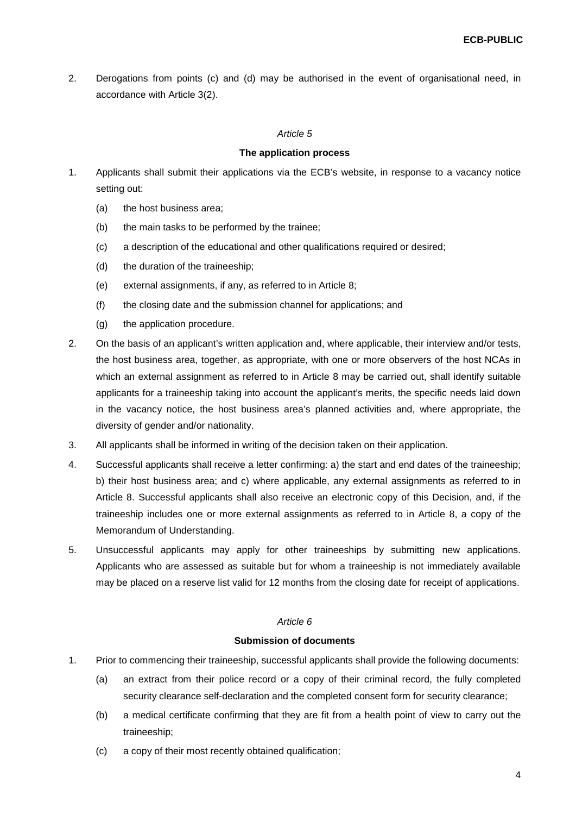2. Derogations from points (c) and (d) may be authorised in the event of organisational need, in accordance with Article 3(2).

### *Article 5*

### **The application process**

- 1. Applicants shall submit their applications via the ECB's website, in response to a vacancy notice setting out:
	- (a) the host business area;
	- (b) the main tasks to be performed by the trainee;
	- (c) a description of the educational and other qualifications required or desired;
	- (d) the duration of the traineeship;
	- (e) external assignments, if any, as referred to in Article 8;
	- (f) the closing date and the submission channel for applications; and
	- (g) the application procedure.
- 2. On the basis of an applicant's written application and, where applicable, their interview and/or tests, the host business area, together, as appropriate, with one or more observers of the host NCAs in which an external assignment as referred to in Article 8 may be carried out, shall identify suitable applicants for a traineeship taking into account the applicant's merits, the specific needs laid down in the vacancy notice, the host business area's planned activities and, where appropriate, the diversity of gender and/or nationality.
- 3. All applicants shall be informed in writing of the decision taken on their application.
- 4. Successful applicants shall receive a letter confirming: a) the start and end dates of the traineeship; b) their host business area; and c) where applicable, any external assignments as referred to in Article 8. Successful applicants shall also receive an electronic copy of this Decision, and, if the traineeship includes one or more external assignments as referred to in Article 8, a copy of the Memorandum of Understanding.
- 5. Unsuccessful applicants may apply for other traineeships by submitting new applications. Applicants who are assessed as suitable but for whom a traineeship is not immediately available may be placed on a reserve list valid for 12 months from the closing date for receipt of applications.

# *Article 6*

### **Submission of documents**

- 1. Prior to commencing their traineeship, successful applicants shall provide the following documents:
	- (a) an extract from their police record or a copy of their criminal record, the fully completed security clearance self-declaration and the completed consent form for security clearance;
	- (b) a medical certificate confirming that they are fit from a health point of view to carry out the traineeship;
	- (c) a copy of their most recently obtained qualification;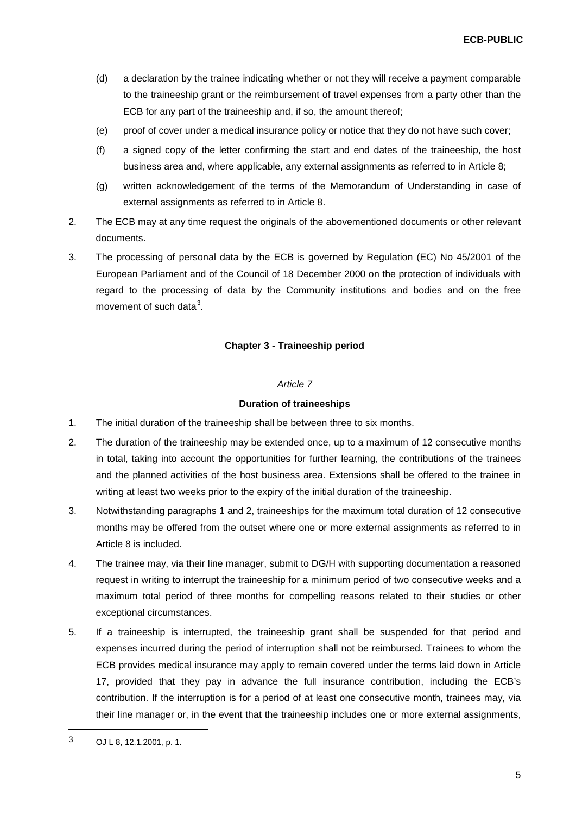- (d) a declaration by the trainee indicating whether or not they will receive a payment comparable to the traineeship grant or the reimbursement of travel expenses from a party other than the ECB for any part of the traineeship and, if so, the amount thereof;
- (e) proof of cover under a medical insurance policy or notice that they do not have such cover;
- (f) a signed copy of the letter confirming the start and end dates of the traineeship, the host business area and, where applicable, any external assignments as referred to in Article 8;
- (g) written acknowledgement of the terms of the Memorandum of Understanding in case of external assignments as referred to in Article 8.
- 2. The ECB may at any time request the originals of the abovementioned documents or other relevant documents.
- 3. The processing of personal data by the ECB is governed by Regulation (EC) No 45/2001 of the European Parliament and of the Council of 18 December 2000 on the protection of individuals with regard to the processing of data by the Community institutions and bodies and on the free movement of such data<sup>[3](#page-4-0)</sup>.

# **Chapter 3 - Traineeship period**

### *Article 7*

### **Duration of traineeships**

- 1. The initial duration of the traineeship shall be between three to six months.
- 2. The duration of the traineeship may be extended once, up to a maximum of 12 consecutive months in total, taking into account the opportunities for further learning, the contributions of the trainees and the planned activities of the host business area. Extensions shall be offered to the trainee in writing at least two weeks prior to the expiry of the initial duration of the traineeship.
- 3. Notwithstanding paragraphs 1 and 2, traineeships for the maximum total duration of 12 consecutive months may be offered from the outset where one or more external assignments as referred to in Article 8 is included.
- 4. The trainee may, via their line manager, submit to DG/H with supporting documentation a reasoned request in writing to interrupt the traineeship for a minimum period of two consecutive weeks and a maximum total period of three months for compelling reasons related to their studies or other exceptional circumstances.
- 5. If a traineeship is interrupted, the traineeship grant shall be suspended for that period and expenses incurred during the period of interruption shall not be reimbursed. Trainees to whom the ECB provides medical insurance may apply to remain covered under the terms laid down in Article 17, provided that they pay in advance the full insurance contribution, including the ECB's contribution. If the interruption is for a period of at least one consecutive month, trainees may, via their line manager or, in the event that the traineeship includes one or more external assignments,

**.** 

<span id="page-4-0"></span><sup>3</sup> OJ L 8, 12.1.2001, p. 1.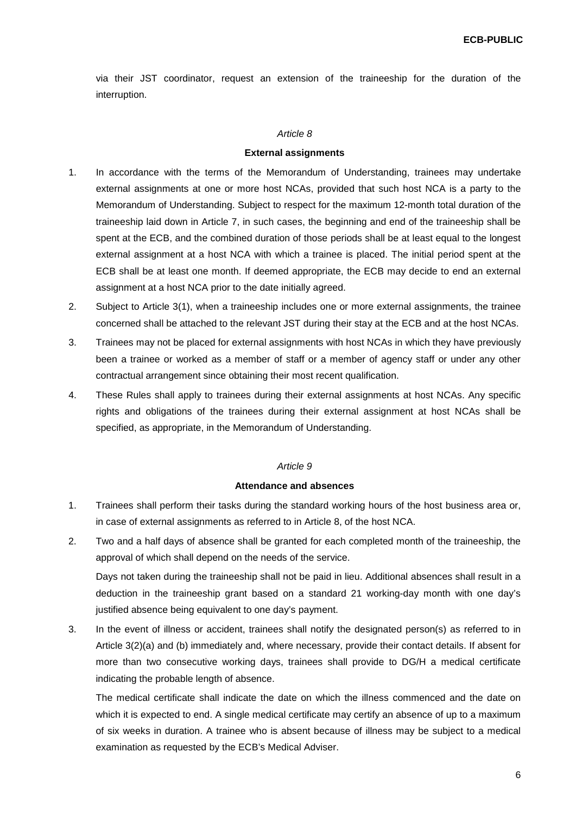via their JST coordinator, request an extension of the traineeship for the duration of the interruption.

### *Article 8*

#### **External assignments**

- 1. In accordance with the terms of the Memorandum of Understanding, trainees may undertake external assignments at one or more host NCAs, provided that such host NCA is a party to the Memorandum of Understanding. Subject to respect for the maximum 12-month total duration of the traineeship laid down in Article 7, in such cases, the beginning and end of the traineeship shall be spent at the ECB, and the combined duration of those periods shall be at least equal to the longest external assignment at a host NCA with which a trainee is placed. The initial period spent at the ECB shall be at least one month. If deemed appropriate, the ECB may decide to end an external assignment at a host NCA prior to the date initially agreed.
- 2. Subject to Article 3(1), when a traineeship includes one or more external assignments, the trainee concerned shall be attached to the relevant JST during their stay at the ECB and at the host NCAs.
- 3. Trainees may not be placed for external assignments with host NCAs in which they have previously been a trainee or worked as a member of staff or a member of agency staff or under any other contractual arrangement since obtaining their most recent qualification.
- 4. These Rules shall apply to trainees during their external assignments at host NCAs. Any specific rights and obligations of the trainees during their external assignment at host NCAs shall be specified, as appropriate, in the Memorandum of Understanding.

### *Article 9*

#### **Attendance and absences**

- 1. Trainees shall perform their tasks during the standard working hours of the host business area or, in case of external assignments as referred to in Article 8, of the host NCA.
- 2. Two and a half days of absence shall be granted for each completed month of the traineeship, the approval of which shall depend on the needs of the service.

Days not taken during the traineeship shall not be paid in lieu. Additional absences shall result in a deduction in the traineeship grant based on a standard 21 working-day month with one day's justified absence being equivalent to one day's payment.

3. In the event of illness or accident, trainees shall notify the designated person(s) as referred to in Article 3(2)(a) and (b) immediately and, where necessary, provide their contact details. If absent for more than two consecutive working days, trainees shall provide to DG/H a medical certificate indicating the probable length of absence.

The medical certificate shall indicate the date on which the illness commenced and the date on which it is expected to end. A single medical certificate may certify an absence of up to a maximum of six weeks in duration. A trainee who is absent because of illness may be subject to a medical examination as requested by the ECB's Medical Adviser.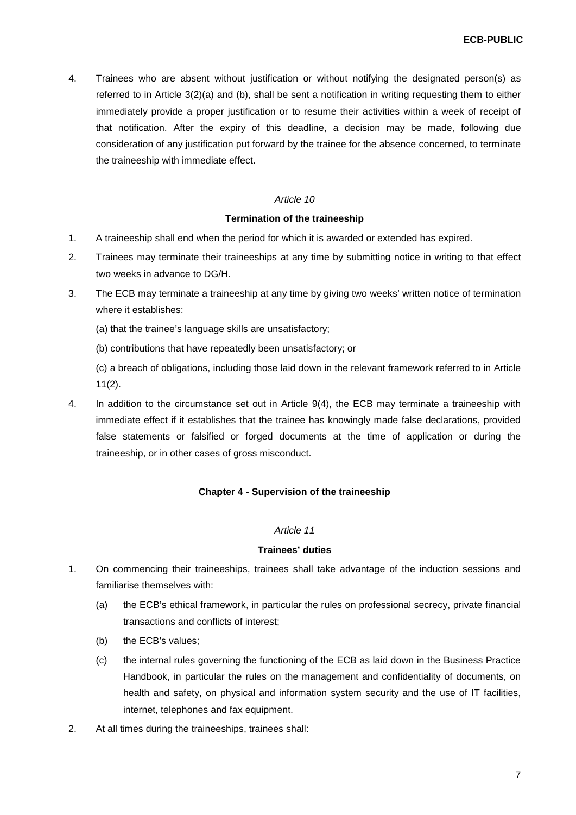4. Trainees who are absent without justification or without notifying the designated person(s) as referred to in Article 3(2)(a) and (b), shall be sent a notification in writing requesting them to either immediately provide a proper justification or to resume their activities within a week of receipt of that notification. After the expiry of this deadline, a decision may be made, following due consideration of any justification put forward by the trainee for the absence concerned, to terminate the traineeship with immediate effect.

### *Article 10*

### **Termination of the traineeship**

- 1. A traineeship shall end when the period for which it is awarded or extended has expired.
- 2. Trainees may terminate their traineeships at any time by submitting notice in writing to that effect two weeks in advance to DG/H.
- 3. The ECB may terminate a traineeship at any time by giving two weeks' written notice of termination where it establishes:
	- (a) that the trainee's language skills are unsatisfactory;
	- (b) contributions that have repeatedly been unsatisfactory; or

(c) a breach of obligations, including those laid down in the relevant framework referred to in Article 11(2).

4. In addition to the circumstance set out in Article 9(4), the ECB may terminate a traineeship with immediate effect if it establishes that the trainee has knowingly made false declarations, provided false statements or falsified or forged documents at the time of application or during the traineeship, or in other cases of gross misconduct.

# **Chapter 4 - Supervision of the traineeship**

#### *Article 11*

#### **Trainees' duties**

- 1. On commencing their traineeships, trainees shall take advantage of the induction sessions and familiarise themselves with:
	- (a) the ECB's ethical framework, in particular the rules on professional secrecy, private financial transactions and conflicts of interest;
	- (b) the ECB's values;
	- (c) the internal rules governing the functioning of the ECB as laid down in the Business Practice Handbook, in particular the rules on the management and confidentiality of documents, on health and safety, on physical and information system security and the use of IT facilities, internet, telephones and fax equipment.
- 2. At all times during the traineeships, trainees shall: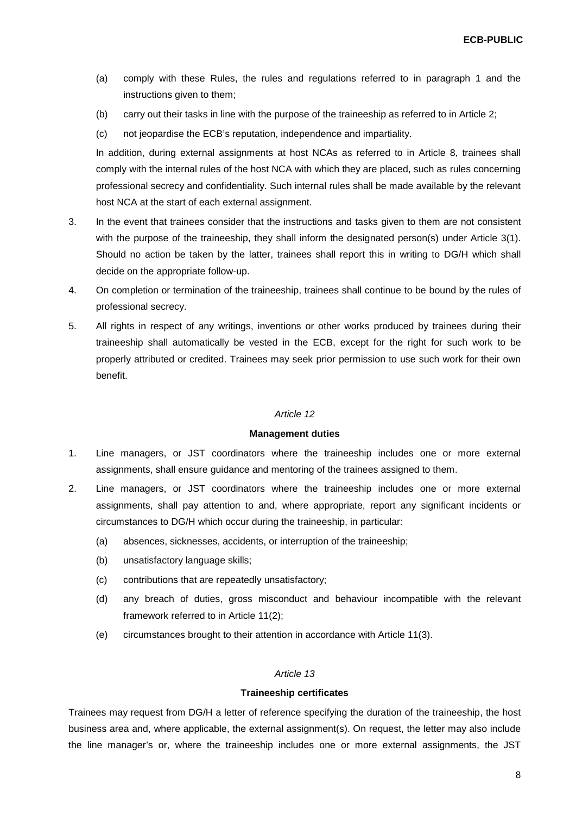- (a) comply with these Rules, the rules and regulations referred to in paragraph 1 and the instructions given to them;
- (b) carry out their tasks in line with the purpose of the traineeship as referred to in Article 2;
- (c) not jeopardise the ECB's reputation, independence and impartiality.

In addition, during external assignments at host NCAs as referred to in Article 8, trainees shall comply with the internal rules of the host NCA with which they are placed, such as rules concerning professional secrecy and confidentiality. Such internal rules shall be made available by the relevant host NCA at the start of each external assignment.

- 3. In the event that trainees consider that the instructions and tasks given to them are not consistent with the purpose of the traineeship, they shall inform the designated person(s) under Article 3(1). Should no action be taken by the latter, trainees shall report this in writing to DG/H which shall decide on the appropriate follow-up.
- 4. On completion or termination of the traineeship, trainees shall continue to be bound by the rules of professional secrecy.
- 5. All rights in respect of any writings, inventions or other works produced by trainees during their traineeship shall automatically be vested in the ECB, except for the right for such work to be properly attributed or credited. Trainees may seek prior permission to use such work for their own benefit.

#### *Article 12*

#### **Management duties**

- 1. Line managers, or JST coordinators where the traineeship includes one or more external assignments, shall ensure guidance and mentoring of the trainees assigned to them.
- 2. Line managers, or JST coordinators where the traineeship includes one or more external assignments, shall pay attention to and, where appropriate, report any significant incidents or circumstances to DG/H which occur during the traineeship, in particular:
	- (a) absences, sicknesses, accidents, or interruption of the traineeship;
	- (b) unsatisfactory language skills;
	- (c) contributions that are repeatedly unsatisfactory;
	- (d) any breach of duties, gross misconduct and behaviour incompatible with the relevant framework referred to in Article 11(2);
	- (e) circumstances brought to their attention in accordance with Article 11(3).

#### *Article 13*

#### **Traineeship certificates**

Trainees may request from DG/H a letter of reference specifying the duration of the traineeship, the host business area and, where applicable, the external assignment(s). On request, the letter may also include the line manager's or, where the traineeship includes one or more external assignments, the JST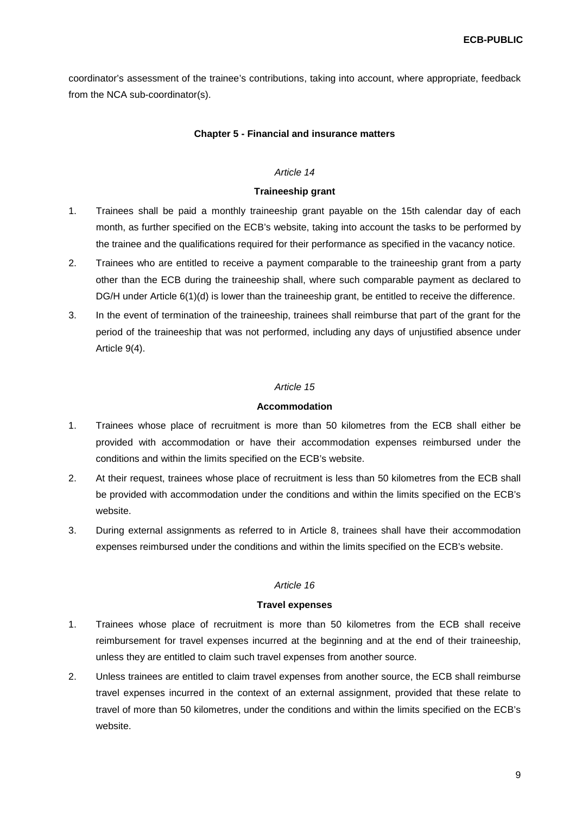coordinator's assessment of the trainee's contributions, taking into account, where appropriate, feedback from the NCA sub-coordinator(s).

#### **Chapter 5 - Financial and insurance matters**

#### *Article 14*

#### **Traineeship grant**

- 1. Trainees shall be paid a monthly traineeship grant payable on the 15th calendar day of each month, as further specified on the ECB's website, taking into account the tasks to be performed by the trainee and the qualifications required for their performance as specified in the vacancy notice.
- 2. Trainees who are entitled to receive a payment comparable to the traineeship grant from a party other than the ECB during the traineeship shall, where such comparable payment as declared to DG/H under Article 6(1)(d) is lower than the traineeship grant, be entitled to receive the difference.
- 3. In the event of termination of the traineeship, trainees shall reimburse that part of the grant for the period of the traineeship that was not performed, including any days of unjustified absence under Article 9(4).

#### *Article 15*

### **Accommodation**

- 1. Trainees whose place of recruitment is more than 50 kilometres from the ECB shall either be provided with accommodation or have their accommodation expenses reimbursed under the conditions and within the limits specified on the ECB's website.
- 2. At their request, trainees whose place of recruitment is less than 50 kilometres from the ECB shall be provided with accommodation under the conditions and within the limits specified on the ECB's website.
- 3. During external assignments as referred to in Article 8, trainees shall have their accommodation expenses reimbursed under the conditions and within the limits specified on the ECB's website.

#### *Article 16*

#### **Travel expenses**

- 1. Trainees whose place of recruitment is more than 50 kilometres from the ECB shall receive reimbursement for travel expenses incurred at the beginning and at the end of their traineeship, unless they are entitled to claim such travel expenses from another source.
- 2. Unless trainees are entitled to claim travel expenses from another source, the ECB shall reimburse travel expenses incurred in the context of an external assignment, provided that these relate to travel of more than 50 kilometres, under the conditions and within the limits specified on the ECB's website.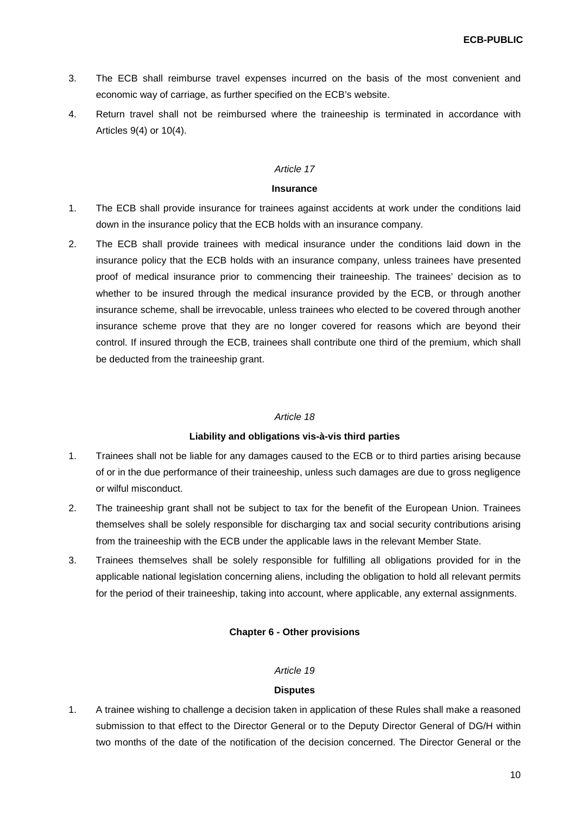- 3. The ECB shall reimburse travel expenses incurred on the basis of the most convenient and economic way of carriage, as further specified on the ECB's website.
- 4. Return travel shall not be reimbursed where the traineeship is terminated in accordance with Articles 9(4) or 10(4).

### *Article 17*

#### **Insurance**

- 1. The ECB shall provide insurance for trainees against accidents at work under the conditions laid down in the insurance policy that the ECB holds with an insurance company.
- 2. The ECB shall provide trainees with medical insurance under the conditions laid down in the insurance policy that the ECB holds with an insurance company, unless trainees have presented proof of medical insurance prior to commencing their traineeship. The trainees' decision as to whether to be insured through the medical insurance provided by the ECB, or through another insurance scheme, shall be irrevocable, unless trainees who elected to be covered through another insurance scheme prove that they are no longer covered for reasons which are beyond their control. If insured through the ECB, trainees shall contribute one third of the premium, which shall be deducted from the traineeship grant.

# *Article 18*

# **Liability and obligations vis-à-vis third parties**

- 1. Trainees shall not be liable for any damages caused to the ECB or to third parties arising because of or in the due performance of their traineeship, unless such damages are due to gross negligence or wilful misconduct.
- 2. The traineeship grant shall not be subject to tax for the benefit of the European Union. Trainees themselves shall be solely responsible for discharging tax and social security contributions arising from the traineeship with the ECB under the applicable laws in the relevant Member State.
- 3. Trainees themselves shall be solely responsible for fulfilling all obligations provided for in the applicable national legislation concerning aliens, including the obligation to hold all relevant permits for the period of their traineeship, taking into account, where applicable, any external assignments.

# **Chapter 6 - Other provisions**

# *Article 19*

# **Disputes**

1. A trainee wishing to challenge a decision taken in application of these Rules shall make a reasoned submission to that effect to the Director General or to the Deputy Director General of DG/H within two months of the date of the notification of the decision concerned. The Director General or the